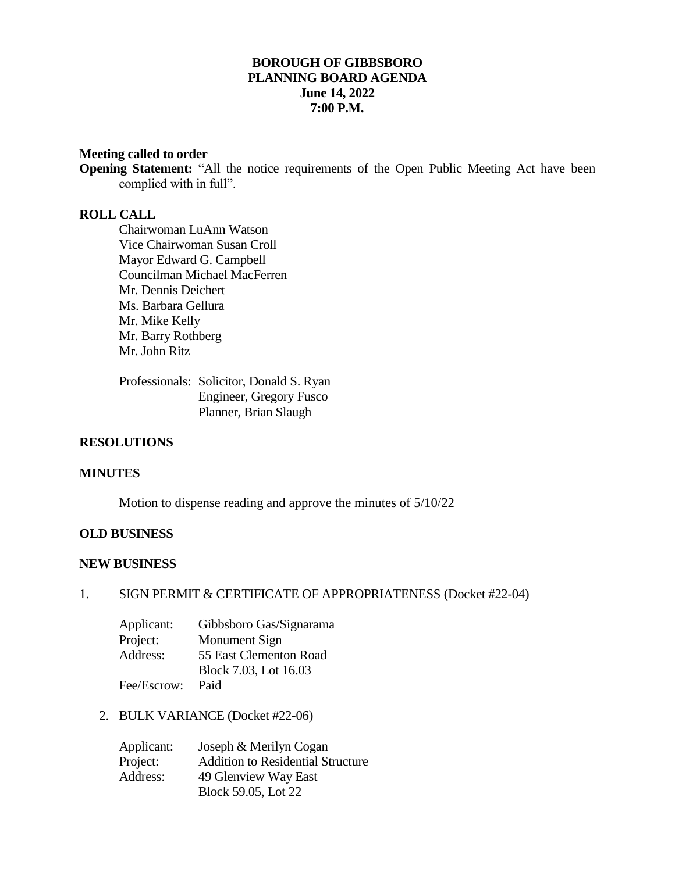# **BOROUGH OF GIBBSBORO PLANNING BOARD AGENDA June 14, 2022 7:00 P.M.**

#### **Meeting called to order**

**Opening Statement:** "All the notice requirements of the Open Public Meeting Act have been complied with in full".

# **ROLL CALL**

Chairwoman LuAnn Watson Vice Chairwoman Susan Croll Mayor Edward G. Campbell Councilman Michael MacFerren Mr. Dennis Deichert Ms. Barbara Gellura Mr. Mike Kelly Mr. Barry Rothberg Mr. John Ritz

Professionals: Solicitor, Donald S. Ryan Engineer, Gregory Fusco Planner, Brian Slaugh

#### **RESOLUTIONS**

#### **MINUTES**

Motion to dispense reading and approve the minutes of 5/10/22

## **OLD BUSINESS**

## **NEW BUSINESS**

#### 1. SIGN PERMIT & CERTIFICATE OF APPROPRIATENESS (Docket #22-04)

| Applicant:  | Gibbsboro Gas/Signarama |
|-------------|-------------------------|
| Project:    | Monument Sign           |
| Address:    | 55 East Clementon Road  |
|             | Block 7.03, Lot 16.03   |
| Fee/Escrow: | Paid                    |

2. BULK VARIANCE (Docket #22-06)

| Applicant: | Joseph & Merilyn Cogan                   |
|------------|------------------------------------------|
| Project:   | <b>Addition to Residential Structure</b> |
| Address:   | 49 Glenview Way East                     |
|            | Block 59.05, Lot 22                      |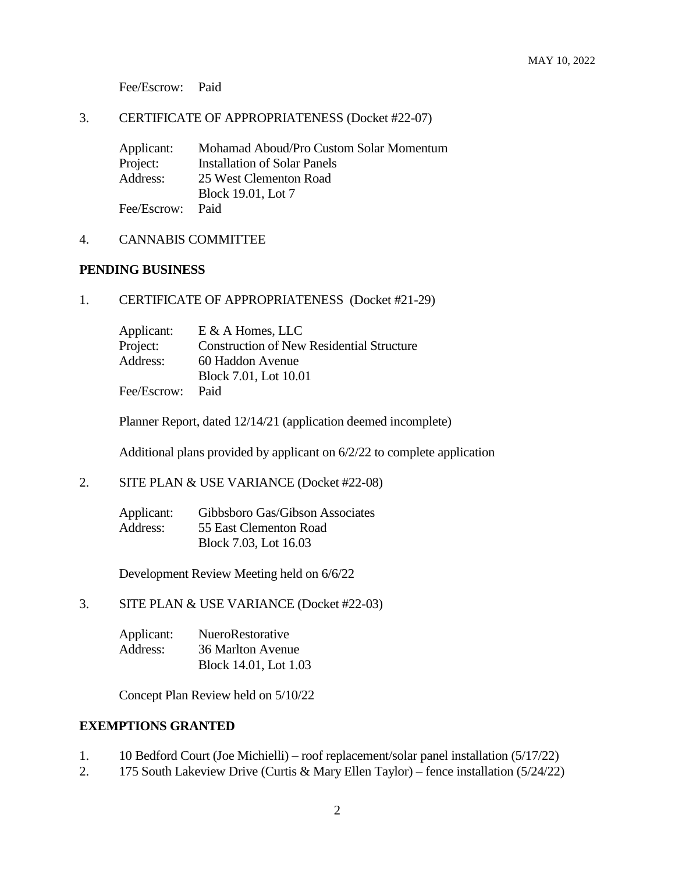Fee/Escrow: Paid

#### 3. CERTIFICATE OF APPROPRIATENESS (Docket #22-07)

Applicant: Mohamad Aboud/Pro Custom Solar Momentum Project: Installation of Solar Panels<br>Address: 25 West Clementon Road 25 West Clementon Road Block 19.01, Lot 7 Fee/Escrow: Paid

## 4. CANNABIS COMMITTEE

#### **PENDING BUSINESS**

1. CERTIFICATE OF APPROPRIATENESS (Docket #21-29)

| Applicant:  | $E \& A$ Homes, LLC                              |
|-------------|--------------------------------------------------|
| Project:    | <b>Construction of New Residential Structure</b> |
| Address:    | 60 Haddon Avenue                                 |
|             | Block 7.01, Lot 10.01                            |
| Fee/Escrow: | Paid                                             |

Planner Report, dated 12/14/21 (application deemed incomplete)

Additional plans provided by applicant on 6/2/22 to complete application

2. SITE PLAN & USE VARIANCE (Docket #22-08)

| Applicant: | Gibbsboro Gas/Gibson Associates |
|------------|---------------------------------|
| Address:   | 55 East Clementon Road          |
|            | Block 7.03, Lot 16.03           |

Development Review Meeting held on 6/6/22

3. SITE PLAN & USE VARIANCE (Docket #22-03)

| Applicant: | <b>NueroRestorative</b> |
|------------|-------------------------|
| Address:   | 36 Marlton Avenue       |
|            | Block 14.01, Lot 1.03   |

Concept Plan Review held on 5/10/22

#### **EXEMPTIONS GRANTED**

- 1. 10 Bedford Court (Joe Michielli) roof replacement/solar panel installation (5/17/22)
- 2. 175 South Lakeview Drive (Curtis & Mary Ellen Taylor) fence installation (5/24/22)